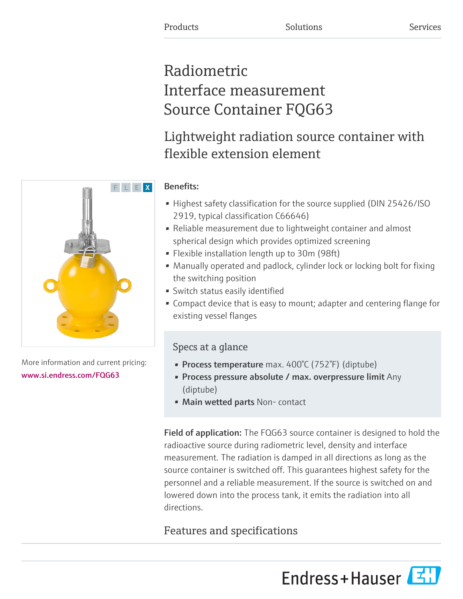# Radiometric Interface measurement Source Container FQG63

# Lightweight radiation source container with flexible extension element



- Highest safety classification for the source supplied (DIN 25426/ISO 2919, typical classification C66646)
- Reliable measurement due to lightweight container and almost spherical design which provides optimized screening
- Flexible installation length up to 30m (98ft)
- Manually operated and padlock, cylinder lock or locking bolt for fixing the switching position
- Switch status easily identified
- Compact device that is easy to mount; adapter and centering flange for existing vessel flanges

# Specs at a glance

- Process temperature max. 400°C (752°F) (diptube)
- Process pressure absolute / max. overpressure limit Any (diptube)
- Main wetted parts Non-contact

Field of application: The FQG63 source container is designed to hold the radioactive source during radiometric level, density and interface measurement. The radiation is damped in all directions as long as the source container is switched off. This guarantees highest safety for the personnel and a reliable measurement. If the source is switched on and lowered down into the process tank, it emits the radiation into all directions.

# Features and specifications





More information and current pricing: [www.si.endress.com/FQG63](https://www.si.endress.com/FQG63)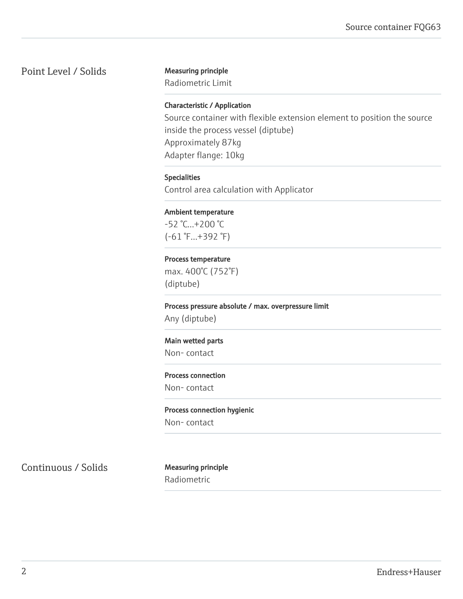# Point Level / Solids Measuring principle

Radiometric Limit

#### Characteristic / Application

Source container with flexible extension element to position the source inside the process vessel (diptube) Approximately 87kg Adapter flange: 10kg

#### Specialities

Control area calculation with Applicator

#### Ambient temperature

-52 °C...+200 °C (-61 °F...+392 °F)

#### Process temperature

max. 400°C (752°F) (diptube)

Process pressure absolute / max. overpressure limit Any (diptube)

#### Main wetted parts

Non- contact

# Process connection

Non- contact

#### Process connection hygienic

Non- contact

Continuous / Solids Measuring principle

Radiometric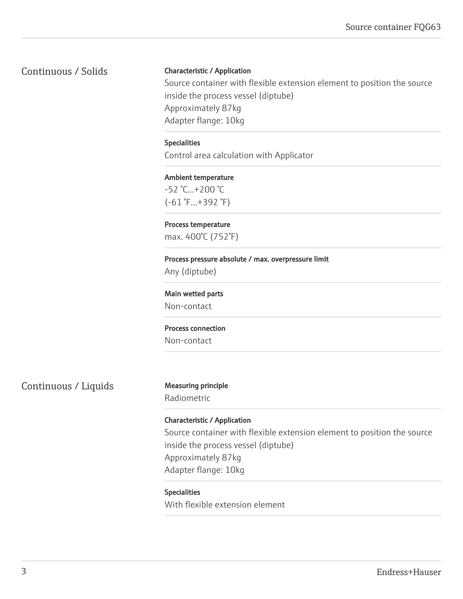Continuous / Solids

#### Characteristic / Application

Source container with flexible extension element to position the source inside the process vessel (diptube) Approximately 87kg Adapter flange: 10kg

#### Specialities

Control area calculation with Applicator

# Ambient temperature -52 °C...+200 °C (-61 °F...+392 °F)

Process temperature max. 400°C (752°F)

### Process pressure absolute / max. overpressure limit Any (diptube)

Main wetted parts Non-contact

### Process connection

Non-contact

Continuous / Liquids Measuring principle

Radiometric

## Characteristic / Application

Source container with flexible extension element to position the source inside the process vessel (diptube) Approximately 87kg Adapter flange: 10kg

#### Specialities

With flexible extension element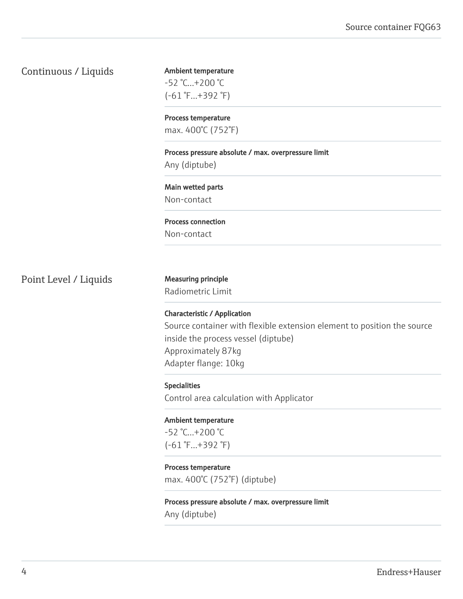## Continuous / Liquids

Ambient temperature -52 °C...+200 °C (-61 °F...+392 °F)

Process temperature max. 400°C (752°F)

Process pressure absolute / max. overpressure limit

Any (diptube)

Main wetted parts Non-contact

Process connection Non-contact

Point Level / Liquids Measuring principle

Radiometric Limit

Characteristic / Application Source container with flexible extension element to position the source inside the process vessel (diptube) Approximately 87kg Adapter flange: 10kg

Specialities Control area calculation with Applicator

Ambient temperature -52 °C...+200 °C (-61 °F...+392 °F)

Process temperature max. 400°C (752°F) (diptube)

Process pressure absolute / max. overpressure limit Any (diptube)